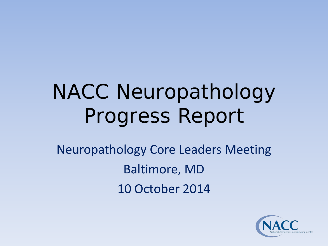# NACC Neuropathology Progress Report

Neuropathology Core Leaders Meeting Baltimore, MD 10 October 2014

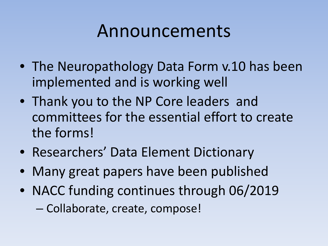## Announcements

- The Neuropathology Data Form v.10 has been implemented and is working well
- Thank you to the NP Core leaders and committees for the essential effort to create the forms!
- Researchers' Data Element Dictionary
- Many great papers have been published
- NACC funding continues through 06/2019
	- Collaborate, create, compose!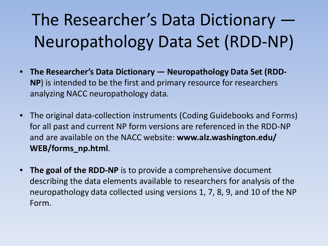# The Researcher's Data Dictionary — Neuropathology Data Set (RDD-NP)

- **The Researcher's Data Dictionary — Neuropathology Data Set (RDD-NP**) is intended to be the first and primary resource for researchers analyzing NACC neuropathology data.
- The original data-collection instruments (Coding Guidebooks and Forms) for all past and current NP form versions are referenced in the RDD-NP and are available on the NACC website: **www.alz.washington.edu/ WEB/forms\_np.html**.
- **The goal of the RDD-NP** is to provide a comprehensive document describing the data elements available to researchers for analysis of the neuropathology data collected using versions 1, 7, 8, 9, and 10 of the NP Form.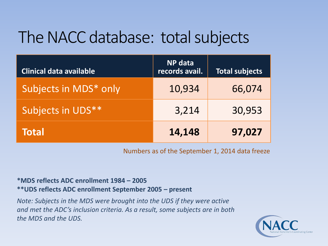## The NACC database: total subjects

| <b>Clinical data available</b> | <b>NP</b> data<br>records avail. | <b>Total subjects</b> |
|--------------------------------|----------------------------------|-----------------------|
| Subjects in MDS* only          | 10,934                           | 66,074                |
| Subjects in UDS**              | 3,214                            | 30,953                |
| <b>Total</b>                   | 14,148                           | 97,027                |

Numbers as of the September 1, 2014 data freeze

#### **\*MDS reflects ADC enrollment 1984 – 2005 \*\*UDS reflects ADC enrollment September 2005 – present**

*Note: Subjects in the MDS were brought into the UDS if they were active and met the ADC's inclusion criteria. As a result, some subjects are in both the MDS and the UDS.*

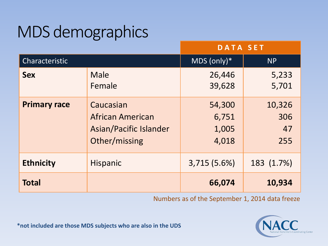# MDS demographics

|                     |                                                                                 | <b>DATA SET</b>                   |                            |
|---------------------|---------------------------------------------------------------------------------|-----------------------------------|----------------------------|
| Characteristic      |                                                                                 | MDS $(only)*$                     | <b>NP</b>                  |
| <b>Sex</b>          | Male<br>Female                                                                  | 26,446<br>39,628                  | 5,233<br>5,701             |
| <b>Primary race</b> | Caucasian<br><b>African American</b><br>Asian/Pacific Islander<br>Other/missing | 54,300<br>6,751<br>1,005<br>4,018 | 10,326<br>306<br>47<br>255 |
| <b>Ethnicity</b>    | <b>Hispanic</b>                                                                 | 3,715 (5.6%)                      | 183 (1.7%)                 |
| <b>Total</b>        |                                                                                 | 66,074                            | 10,934                     |

Numbers as of the September 1, 2014 data freeze

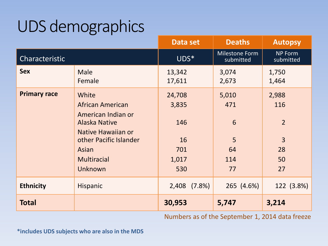## UDS demographics

|                     |                                                                                                                                                                          | Data set                                            | <b>Deaths</b>                             | <b>Autopsy</b>                                                     |
|---------------------|--------------------------------------------------------------------------------------------------------------------------------------------------------------------------|-----------------------------------------------------|-------------------------------------------|--------------------------------------------------------------------|
| Characteristic      |                                                                                                                                                                          | UDS*                                                | Milestone Form<br>submitted               | <b>NP Form</b><br>submitted                                        |
| <b>Sex</b>          | <b>Male</b><br>Female                                                                                                                                                    | 13,342<br>17,611                                    | 3,074<br>2,673                            | 1,750<br>1,464                                                     |
| <b>Primary race</b> | White<br><b>African American</b><br>American Indian or<br><b>Alaska Native</b><br>Native Hawaiian or<br>other Pacific Islander<br>Asian<br><b>Multiracial</b><br>Unknown | 24,708<br>3,835<br>146<br>16<br>701<br>1,017<br>530 | 5,010<br>471<br>6<br>5<br>64<br>114<br>77 | 2,988<br>116<br>$\overline{2}$<br>$\overline{3}$<br>28<br>50<br>27 |
| <b>Ethnicity</b>    | Hispanic                                                                                                                                                                 | 2,408 (7.8%)                                        | 265 (4.6%)                                | 122 (3.8%)                                                         |
| <b>Total</b>        |                                                                                                                                                                          | 30,953                                              | 5,747                                     | 3,214                                                              |

Numbers as of the September 1, 2014 data freeze

**\*includes UDS subjects who are also in the MDS**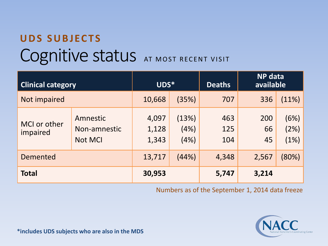## Cognitive status AT MOST RECENT VISIT **UDS SUBJECTS**

| <b>Clinical category</b> |                                            | UDS*                    |                       | <b>Deaths</b>     | <b>NP</b> data<br>available |                      |
|--------------------------|--------------------------------------------|-------------------------|-----------------------|-------------------|-----------------------------|----------------------|
| Not impaired             |                                            | 10,668                  | (35%)                 | 707               | 336                         | (11%)                |
| MCI or other<br>impaired | Amnestic<br>Non-amnestic<br><b>Not MCI</b> | 4,097<br>1,128<br>1,343 | (13%)<br>(4%)<br>(4%) | 463<br>125<br>104 | 200<br>66<br>45             | (6%)<br>(2%)<br>(1%) |
| <b>Demented</b>          |                                            | 13,717                  | (44%)                 | 4,348             | 2,567                       | (80%)                |
| <b>Total</b>             |                                            | 30,953                  |                       | 5,747             | 3,214                       |                      |

Numbers as of the September 1, 2014 data freeze



**\*includes UDS subjects who are also in the MDS**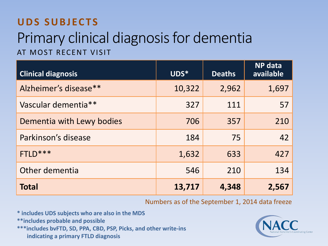#### **UDS SUBJECTS**

### Primary clinical diagnosis for dementia AT MOST RECENT VISIT

| <b>Clinical diagnosis</b> | UDS*   | <b>Deaths</b> | <b>NP</b> data<br>available |
|---------------------------|--------|---------------|-----------------------------|
| Alzheimer's disease**     | 10,322 | 2,962         | 1,697                       |
| Vascular dementia**       | 327    | 111           | 57                          |
| Dementia with Lewy bodies | 706    | 357           | 210                         |
| Parkinson's disease       | 184    | 75            | 42                          |
| FTLD***                   | 1,632  | 633           | 427                         |
| Other dementia            | 546    | 210           | 134                         |
| <b>Total</b>              | 13,717 | 4,348         | 2,567                       |

#### Numbers as of the September 1, 2014 data freeze

- **\* includes UDS subjects who are also in the MDS**
- **\*\*includes probable and possible**

**\*\*\*includes bvFTD, SD, PPA, CBD, PSP, Picks, and other write-ins indicating a primary FTLD diagnosis**

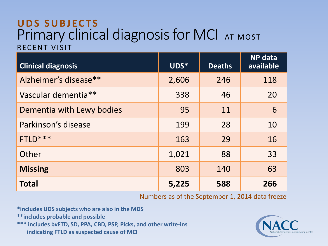#### Primary clinical diagnosis for MCI AT MOST RECENT VISIT **UDS SUBJECTS**

| <b>Clinical diagnosis</b> | UDS*  | <b>Deaths</b> | <b>NP</b> data<br>available |
|---------------------------|-------|---------------|-----------------------------|
| Alzheimer's disease**     | 2,606 | 246           | 118                         |
| Vascular dementia**       | 338   | 46            | 20                          |
| Dementia with Lewy bodies | 95    | 11            | 6                           |
| Parkinson's disease       | 199   | 28            | 10                          |
| FTLD***                   | 163   | 29            | 16                          |
| Other                     | 1,021 | 88            | 33                          |
| <b>Missing</b>            | 803   | 140           | 63                          |
| <b>Total</b>              | 5,225 | 588           | 266                         |

Numbers as of the September 1, 2014 data freeze

**\*includes UDS subjects who are also in the MDS**

**\*\*includes probable and possible** 

**\*\*\* includes bvFTD, SD, PPA, CBD, PSP, Picks, and other write-ins indicating FTLD as suspected cause of MCI**

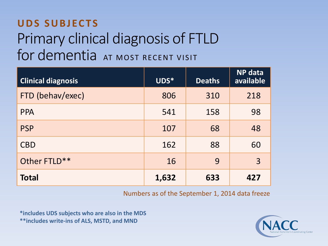### Primary clinical diagnosis of FTLD for dementia AT MOST RECENT VISIT **UDS SUBJECTS**

| <b>Clinical diagnosis</b> | UDS*  | <b>Deaths</b> | <b>NP</b> data<br>available |
|---------------------------|-------|---------------|-----------------------------|
| FTD (behav/exec)          | 806   | 310           | 218                         |
| <b>PPA</b>                | 541   | 158           | 98                          |
| <b>PSP</b>                | 107   | 68            | 48                          |
| <b>CBD</b>                | 162   | 88            | 60                          |
| Other FTLD**              | 16    | 9             | $\overline{3}$              |
| <b>Total</b>              | 1,632 | 633           | 427                         |

Numbers as of the September 1, 2014 data freeze

**\*includes UDS subjects who are also in the MDS \*\*includes write-ins of ALS, MSTD, and MND**